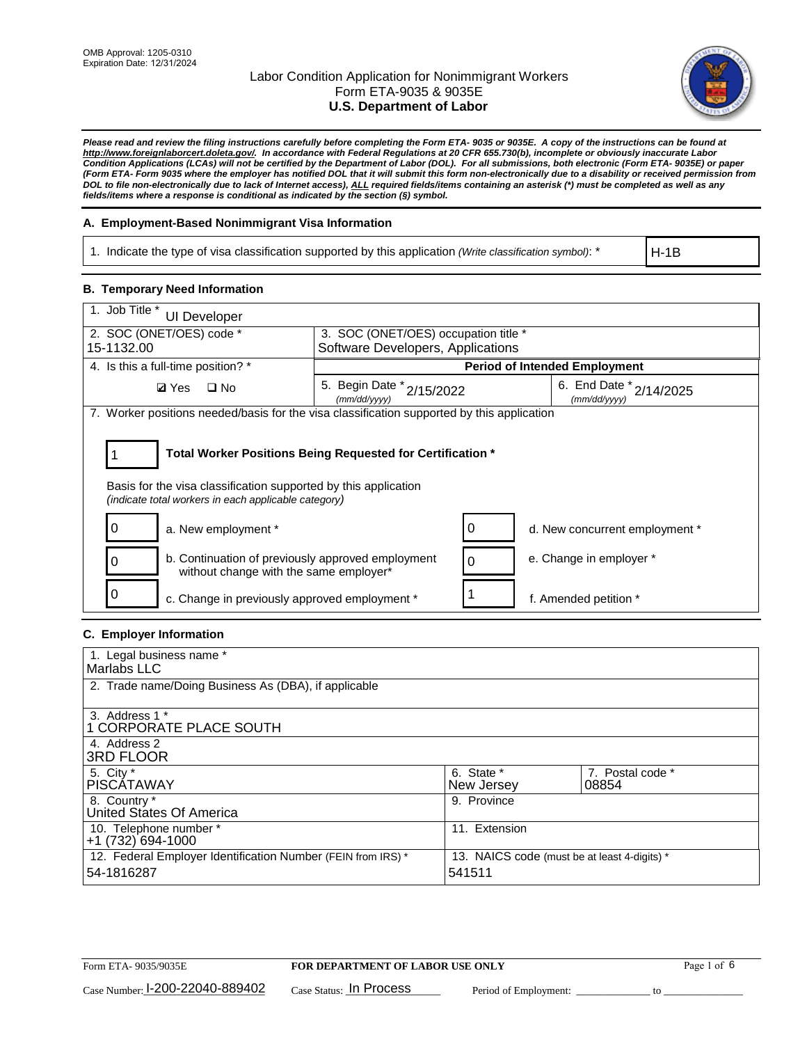

*Please read and review the filing instructions carefully before completing the Form ETA- 9035 or 9035E. A copy of the instructions can be found at http://www.foreignlaborcert.doleta.gov/. In accordance with Federal Regulations at 20 CFR 655.730(b), incomplete or obviously inaccurate Labor Condition Applications (LCAs) will not be certified by the Department of Labor (DOL). For all submissions, both electronic (Form ETA- 9035E) or paper (Form ETA- Form 9035 where the employer has notified DOL that it will submit this form non-electronically due to a disability or received permission from DOL to file non-electronically due to lack of Internet access), ALL required fields/items containing an asterisk (\*) must be completed as well as any fields/items where a response is conditional as indicated by the section (§) symbol.* 

## **A. Employment-Based Nonimmigrant Visa Information**

1. Indicate the type of visa classification supported by this application *(Write classification symbol)*: \*

H-1B

## **B. Temporary Need Information**

| 1. Job Title *<br><b>UI Developer</b>                                                                                                                                                 |                                                                                              |                                      |  |  |  |  |
|---------------------------------------------------------------------------------------------------------------------------------------------------------------------------------------|----------------------------------------------------------------------------------------------|--------------------------------------|--|--|--|--|
| 2. SOC (ONET/OES) code *                                                                                                                                                              | 3. SOC (ONET/OES) occupation title *                                                         |                                      |  |  |  |  |
| 15-1132.00                                                                                                                                                                            | Software Developers, Applications                                                            |                                      |  |  |  |  |
| 4. Is this a full-time position? *                                                                                                                                                    |                                                                                              | <b>Period of Intended Employment</b> |  |  |  |  |
| $\square$ No<br><b>Ø</b> Yes                                                                                                                                                          | 6. End Date $*_{2/14/2025}$<br>5. Begin Date $x^*$ 2/15/2022<br>(mm/dd/yyyy)<br>(mm/dd/yyyy) |                                      |  |  |  |  |
| 7. Worker positions needed/basis for the visa classification supported by this application                                                                                            |                                                                                              |                                      |  |  |  |  |
| Total Worker Positions Being Requested for Certification *<br>Basis for the visa classification supported by this application<br>(indicate total workers in each applicable category) |                                                                                              |                                      |  |  |  |  |
| a. New employment *                                                                                                                                                                   |                                                                                              | d. New concurrent employment *       |  |  |  |  |
| b. Continuation of previously approved employment<br>without change with the same employer*                                                                                           |                                                                                              | e. Change in employer *              |  |  |  |  |
| c. Change in previously approved employment *                                                                                                                                         |                                                                                              | f. Amended petition *                |  |  |  |  |

## **C. Employer Information**

| 1. Legal business name *                                                   |                                                        |                           |
|----------------------------------------------------------------------------|--------------------------------------------------------|---------------------------|
| Marlabs LLC                                                                |                                                        |                           |
| 2. Trade name/Doing Business As (DBA), if applicable                       |                                                        |                           |
| 3. Address 1 *<br>1 CORPORATE PLACE SOUTH<br>4. Address 2                  |                                                        |                           |
| <b>3RD FLOOR</b>                                                           |                                                        |                           |
| 5. City *<br><b>PISCÁTAWAY</b>                                             | 6. State *<br>New Jersey                               | 7. Postal code *<br>08854 |
| 8. Country *<br>United States Of America                                   | 9. Province                                            |                           |
| 10. Telephone number *<br>$+1(732)694-1000$                                | 11. Extension                                          |                           |
| 12. Federal Employer Identification Number (FEIN from IRS) *<br>54-1816287 | 13. NAICS code (must be at least 4-digits) *<br>541511 |                           |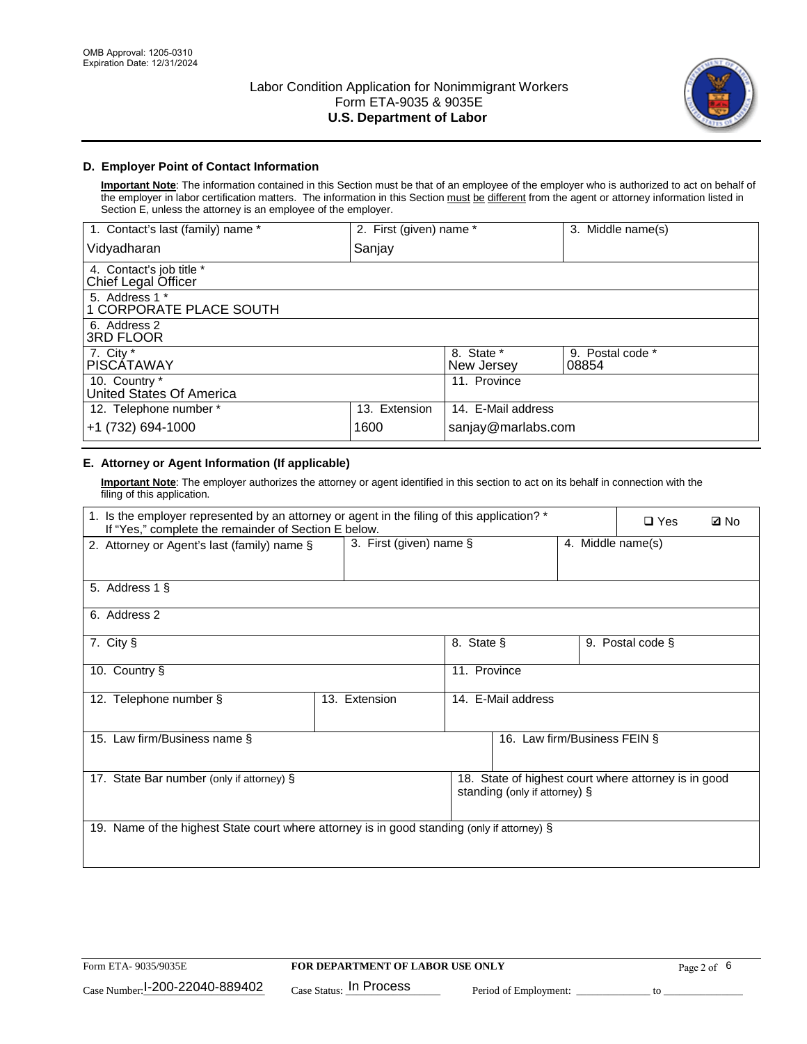

## **D. Employer Point of Contact Information**

**Important Note**: The information contained in this Section must be that of an employee of the employer who is authorized to act on behalf of the employer in labor certification matters. The information in this Section must be different from the agent or attorney information listed in Section E, unless the attorney is an employee of the employer.

| 1. Contact's last (family) name *               | 2. First (given) name * |                          | 3. Middle name(s)         |
|-------------------------------------------------|-------------------------|--------------------------|---------------------------|
| Vidyadharan                                     | Sanjay                  |                          |                           |
| 4. Contact's job title *<br>Chief Legal Officer |                         |                          |                           |
| 5. Address 1 *<br>1 CORPORATE PLACE SOUTH       |                         |                          |                           |
| 6. Address 2<br><b>3RD FLOOR</b>                |                         |                          |                           |
| 7. City *<br><b>PISCÁTAWAY</b>                  |                         | 8. State *<br>New Jersey | 9. Postal code *<br>08854 |
| 10. Country *<br>United States Of America       |                         | 11. Province             |                           |
| 12. Telephone number *                          | 13. Extension           | 14. E-Mail address       |                           |
| +1 (732) 694-1000                               | 1600                    | sanjay@marlabs.com       |                           |

# **E. Attorney or Agent Information (If applicable)**

**Important Note**: The employer authorizes the attorney or agent identified in this section to act on its behalf in connection with the filing of this application.

| 1. Is the employer represented by an attorney or agent in the filing of this application? *<br>If "Yes," complete the remainder of Section E below. |               |                         |                                                                                       | $\Box$ Yes | <b>ØNo</b>        |  |
|-----------------------------------------------------------------------------------------------------------------------------------------------------|---------------|-------------------------|---------------------------------------------------------------------------------------|------------|-------------------|--|
| 2. Attorney or Agent's last (family) name §                                                                                                         |               | 3. First (given) name § |                                                                                       |            | 4. Middle name(s) |  |
| 5. Address 1 §                                                                                                                                      |               |                         |                                                                                       |            |                   |  |
| 6. Address 2                                                                                                                                        |               |                         |                                                                                       |            |                   |  |
| 7. City §                                                                                                                                           |               | 8. State §              |                                                                                       |            | 9. Postal code §  |  |
| 10. Country §                                                                                                                                       |               | 11. Province            |                                                                                       |            |                   |  |
| 12. Telephone number §                                                                                                                              | 13. Extension | 14. E-Mail address      |                                                                                       |            |                   |  |
| 15. Law firm/Business name §                                                                                                                        |               |                         | 16. Law firm/Business FEIN §                                                          |            |                   |  |
| 17. State Bar number (only if attorney) §                                                                                                           |               |                         | 18. State of highest court where attorney is in good<br>standing (only if attorney) § |            |                   |  |
| 19. Name of the highest State court where attorney is in good standing (only if attorney) §                                                         |               |                         |                                                                                       |            |                   |  |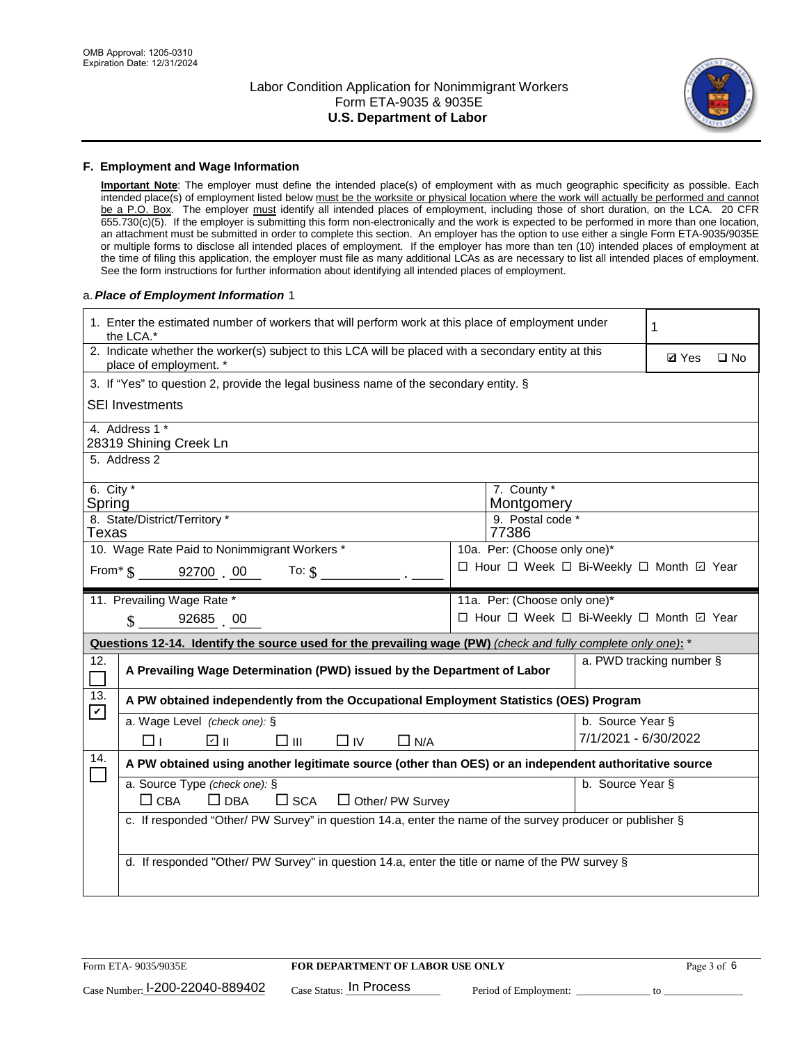

#### **F. Employment and Wage Information**

**Important Note**: The employer must define the intended place(s) of employment with as much geographic specificity as possible. Each intended place(s) of employment listed below must be the worksite or physical location where the work will actually be performed and cannot be a P.O. Box. The employer must identify all intended places of employment, including those of short duration, on the LCA. 20 CFR 655.730(c)(5). If the employer is submitting this form non-electronically and the work is expected to be performed in more than one location, an attachment must be submitted in order to complete this section. An employer has the option to use either a single Form ETA-9035/9035E or multiple forms to disclose all intended places of employment. If the employer has more than ten (10) intended places of employment at the time of filing this application, the employer must file as many additional LCAs as are necessary to list all intended places of employment. See the form instructions for further information about identifying all intended places of employment.

#### a.*Place of Employment Information* 1

|                       | 1. Enter the estimated number of workers that will perform work at this place of employment under<br>the LCA.*                 |  |                                          |                      |                          |              |  |  |
|-----------------------|--------------------------------------------------------------------------------------------------------------------------------|--|------------------------------------------|----------------------|--------------------------|--------------|--|--|
|                       | 2. Indicate whether the worker(s) subject to this LCA will be placed with a secondary entity at this<br>place of employment. * |  |                                          |                      | <b>Ø</b> Yes             | $\square$ No |  |  |
|                       | 3. If "Yes" to question 2, provide the legal business name of the secondary entity. §                                          |  |                                          |                      |                          |              |  |  |
|                       | <b>SEI Investments</b>                                                                                                         |  |                                          |                      |                          |              |  |  |
|                       | 4. Address 1 *<br>28319 Shining Creek Ln                                                                                       |  |                                          |                      |                          |              |  |  |
|                       | 5. Address 2                                                                                                                   |  |                                          |                      |                          |              |  |  |
| 6. City $*$<br>Spring |                                                                                                                                |  | 7. County *<br>Montgomery                |                      |                          |              |  |  |
| Texas                 | 8. State/District/Territory *                                                                                                  |  | 9. Postal code *<br>77386                |                      |                          |              |  |  |
|                       | 10. Wage Rate Paid to Nonimmigrant Workers *                                                                                   |  | 10a. Per: (Choose only one)*             |                      |                          |              |  |  |
|                       | From $\sin 92700$ 00<br>To: $$$                                                                                                |  | □ Hour □ Week □ Bi-Weekly □ Month 回 Year |                      |                          |              |  |  |
|                       | 11. Prevailing Wage Rate *                                                                                                     |  | 11a. Per: (Choose only one)*             |                      |                          |              |  |  |
|                       | 92685 00<br>$\mathbf{\hat{S}}$                                                                                                 |  | □ Hour □ Week □ Bi-Weekly □ Month □ Year |                      |                          |              |  |  |
|                       | Questions 12-14. Identify the source used for the prevailing wage (PW) (check and fully complete only one): *                  |  |                                          |                      |                          |              |  |  |
| 12.<br>$\Box$         | A Prevailing Wage Determination (PWD) issued by the Department of Labor                                                        |  |                                          |                      | a. PWD tracking number § |              |  |  |
| 13.<br>$\mathbf v$    | A PW obtained independently from the Occupational Employment Statistics (OES) Program                                          |  |                                          |                      |                          |              |  |  |
|                       | a. Wage Level (check one): §                                                                                                   |  |                                          | b. Source Year §     |                          |              |  |  |
|                       | ☑ ॥<br>$\square$ $\square$<br>$\square$ IV<br>$\Box$ N/A<br>⊓⊥                                                                 |  |                                          | 7/1/2021 - 6/30/2022 |                          |              |  |  |
| 14.                   | A PW obtained using another legitimate source (other than OES) or an independent authoritative source                          |  |                                          |                      |                          |              |  |  |
|                       | a. Source Type (check one): §<br>b. Source Year §<br>$\Box$ CBA<br>$\Box$ DBA<br>$\square$ SCA<br>$\Box$ Other/ PW Survey      |  |                                          |                      |                          |              |  |  |
|                       | c. If responded "Other/ PW Survey" in question 14.a, enter the name of the survey producer or publisher §                      |  |                                          |                      |                          |              |  |  |
|                       | d. If responded "Other/ PW Survey" in question 14.a, enter the title or name of the PW survey §                                |  |                                          |                      |                          |              |  |  |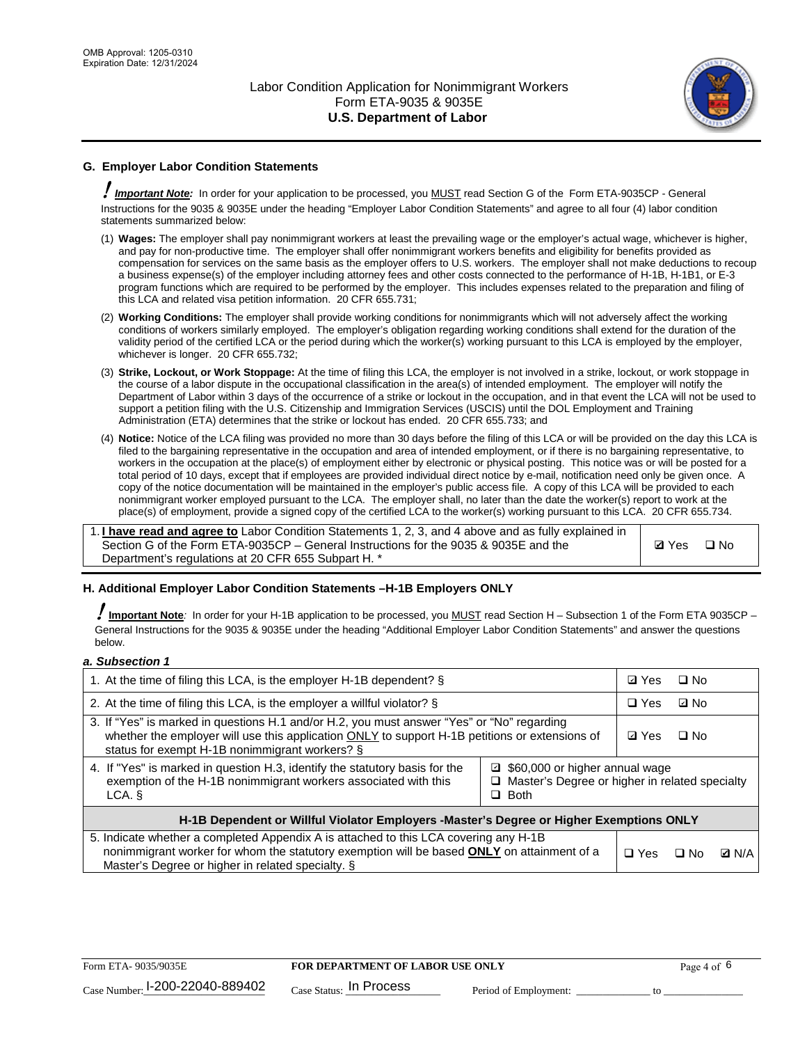

# **G. Employer Labor Condition Statements**

! *Important Note:* In order for your application to be processed, you MUST read Section G of the Form ETA-9035CP - General Instructions for the 9035 & 9035E under the heading "Employer Labor Condition Statements" and agree to all four (4) labor condition statements summarized below:

- (1) **Wages:** The employer shall pay nonimmigrant workers at least the prevailing wage or the employer's actual wage, whichever is higher, and pay for non-productive time. The employer shall offer nonimmigrant workers benefits and eligibility for benefits provided as compensation for services on the same basis as the employer offers to U.S. workers. The employer shall not make deductions to recoup a business expense(s) of the employer including attorney fees and other costs connected to the performance of H-1B, H-1B1, or E-3 program functions which are required to be performed by the employer. This includes expenses related to the preparation and filing of this LCA and related visa petition information. 20 CFR 655.731;
- (2) **Working Conditions:** The employer shall provide working conditions for nonimmigrants which will not adversely affect the working conditions of workers similarly employed. The employer's obligation regarding working conditions shall extend for the duration of the validity period of the certified LCA or the period during which the worker(s) working pursuant to this LCA is employed by the employer, whichever is longer. 20 CFR 655.732;
- (3) **Strike, Lockout, or Work Stoppage:** At the time of filing this LCA, the employer is not involved in a strike, lockout, or work stoppage in the course of a labor dispute in the occupational classification in the area(s) of intended employment. The employer will notify the Department of Labor within 3 days of the occurrence of a strike or lockout in the occupation, and in that event the LCA will not be used to support a petition filing with the U.S. Citizenship and Immigration Services (USCIS) until the DOL Employment and Training Administration (ETA) determines that the strike or lockout has ended. 20 CFR 655.733; and
- (4) **Notice:** Notice of the LCA filing was provided no more than 30 days before the filing of this LCA or will be provided on the day this LCA is filed to the bargaining representative in the occupation and area of intended employment, or if there is no bargaining representative, to workers in the occupation at the place(s) of employment either by electronic or physical posting. This notice was or will be posted for a total period of 10 days, except that if employees are provided individual direct notice by e-mail, notification need only be given once. A copy of the notice documentation will be maintained in the employer's public access file. A copy of this LCA will be provided to each nonimmigrant worker employed pursuant to the LCA. The employer shall, no later than the date the worker(s) report to work at the place(s) of employment, provide a signed copy of the certified LCA to the worker(s) working pursuant to this LCA. 20 CFR 655.734.

1. **I have read and agree to** Labor Condition Statements 1, 2, 3, and 4 above and as fully explained in Section G of the Form ETA-9035CP – General Instructions for the 9035 & 9035E and the Department's regulations at 20 CFR 655 Subpart H. \*

**Ø**Yes ロNo

## **H. Additional Employer Labor Condition Statements –H-1B Employers ONLY**

!**Important Note***:* In order for your H-1B application to be processed, you MUST read Section H – Subsection 1 of the Form ETA 9035CP – General Instructions for the 9035 & 9035E under the heading "Additional Employer Labor Condition Statements" and answer the questions below.

#### *a. Subsection 1*

| 1. At the time of filing this LCA, is the employer H-1B dependent? §                                                                                                                                                                                               |  |  | $\Box$ No |              |
|--------------------------------------------------------------------------------------------------------------------------------------------------------------------------------------------------------------------------------------------------------------------|--|--|-----------|--------------|
| 2. At the time of filing this LCA, is the employer a willful violator? $\S$                                                                                                                                                                                        |  |  | ⊡ No      |              |
| 3. If "Yes" is marked in questions H.1 and/or H.2, you must answer "Yes" or "No" regarding<br>whether the employer will use this application ONLY to support H-1B petitions or extensions of<br>status for exempt H-1B nonimmigrant workers? §                     |  |  | $\Box$ No |              |
| 4. If "Yes" is marked in question H.3, identify the statutory basis for the<br>□ \$60,000 or higher annual wage<br>exemption of the H-1B nonimmigrant workers associated with this<br>$\Box$ Master's Degree or higher in related specialty<br>$\Box$ Both<br>LCA. |  |  |           |              |
| H-1B Dependent or Willful Violator Employers -Master's Degree or Higher Exemptions ONLY                                                                                                                                                                            |  |  |           |              |
| 5. Indicate whether a completed Appendix A is attached to this LCA covering any H-1B<br>nonimmigrant worker for whom the statutory exemption will be based <b>ONLY</b> on attainment of a<br>Master's Degree or higher in related specialty. §                     |  |  | ⊡ No      | <b>D</b> N/A |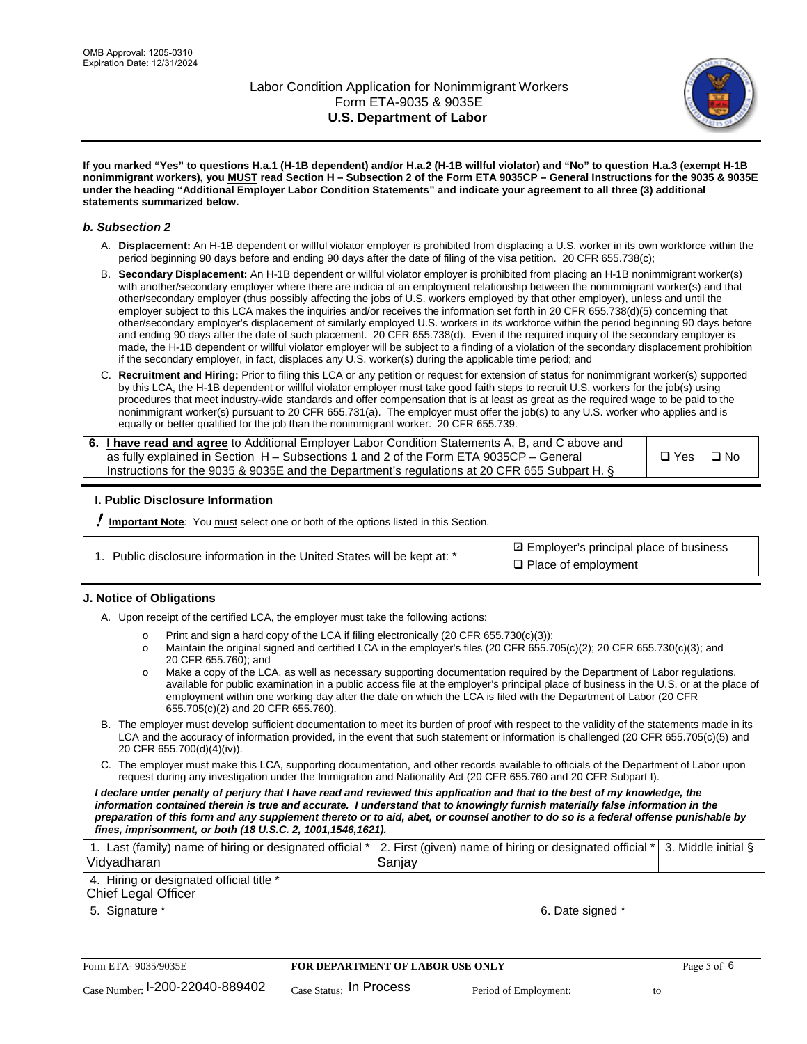

**If you marked "Yes" to questions H.a.1 (H-1B dependent) and/or H.a.2 (H-1B willful violator) and "No" to question H.a.3 (exempt H-1B nonimmigrant workers), you MUST read Section H – Subsection 2 of the Form ETA 9035CP – General Instructions for the 9035 & 9035E under the heading "Additional Employer Labor Condition Statements" and indicate your agreement to all three (3) additional statements summarized below.**

#### *b. Subsection 2*

- A. **Displacement:** An H-1B dependent or willful violator employer is prohibited from displacing a U.S. worker in its own workforce within the period beginning 90 days before and ending 90 days after the date of filing of the visa petition. 20 CFR 655.738(c);
- B. **Secondary Displacement:** An H-1B dependent or willful violator employer is prohibited from placing an H-1B nonimmigrant worker(s) with another/secondary employer where there are indicia of an employment relationship between the nonimmigrant worker(s) and that other/secondary employer (thus possibly affecting the jobs of U.S. workers employed by that other employer), unless and until the employer subject to this LCA makes the inquiries and/or receives the information set forth in 20 CFR 655.738(d)(5) concerning that other/secondary employer's displacement of similarly employed U.S. workers in its workforce within the period beginning 90 days before and ending 90 days after the date of such placement. 20 CFR 655.738(d). Even if the required inquiry of the secondary employer is made, the H-1B dependent or willful violator employer will be subject to a finding of a violation of the secondary displacement prohibition if the secondary employer, in fact, displaces any U.S. worker(s) during the applicable time period; and
- C. **Recruitment and Hiring:** Prior to filing this LCA or any petition or request for extension of status for nonimmigrant worker(s) supported by this LCA, the H-1B dependent or willful violator employer must take good faith steps to recruit U.S. workers for the job(s) using procedures that meet industry-wide standards and offer compensation that is at least as great as the required wage to be paid to the nonimmigrant worker(s) pursuant to 20 CFR 655.731(a). The employer must offer the job(s) to any U.S. worker who applies and is equally or better qualified for the job than the nonimmigrant worker. 20 CFR 655.739.

| 6. I have read and agree to Additional Employer Labor Condition Statements A, B, and C above and |       |           |
|--------------------------------------------------------------------------------------------------|-------|-----------|
| as fully explained in Section H – Subsections 1 and 2 of the Form ETA 9035CP – General           | □ Yes | $\Box$ No |
| Instructions for the 9035 & 9035E and the Department's regulations at 20 CFR 655 Subpart H. §    |       |           |

## **I. Public Disclosure Information**

! **Important Note***:* You must select one or both of the options listed in this Section.

**sqrt** Employer's principal place of business □ Place of employment

## **J. Notice of Obligations**

A. Upon receipt of the certified LCA, the employer must take the following actions:

- o Print and sign a hard copy of the LCA if filing electronically (20 CFR 655.730(c)(3));<br>
Maintain the original signed and certified LCA in the employer's files (20 CFR 655.7
- Maintain the original signed and certified LCA in the employer's files (20 CFR 655.705(c)(2); 20 CFR 655.730(c)(3); and 20 CFR 655.760); and
- o Make a copy of the LCA, as well as necessary supporting documentation required by the Department of Labor regulations, available for public examination in a public access file at the employer's principal place of business in the U.S. or at the place of employment within one working day after the date on which the LCA is filed with the Department of Labor (20 CFR 655.705(c)(2) and 20 CFR 655.760).
- B. The employer must develop sufficient documentation to meet its burden of proof with respect to the validity of the statements made in its LCA and the accuracy of information provided, in the event that such statement or information is challenged (20 CFR 655.705(c)(5) and 20 CFR 655.700(d)(4)(iv)).
- C. The employer must make this LCA, supporting documentation, and other records available to officials of the Department of Labor upon request during any investigation under the Immigration and Nationality Act (20 CFR 655.760 and 20 CFR Subpart I).

*I declare under penalty of perjury that I have read and reviewed this application and that to the best of my knowledge, the*  information contained therein is true and accurate. I understand that to knowingly furnish materially false information in the *preparation of this form and any supplement thereto or to aid, abet, or counsel another to do so is a federal offense punishable by fines, imprisonment, or both (18 U.S.C. 2, 1001,1546,1621).*

| 1. Last (family) name of hiring or designated official *   2. First (given) name of hiring or designated official *   3. Middle initial §<br>Vidyadharan | Saniav           |  |
|----------------------------------------------------------------------------------------------------------------------------------------------------------|------------------|--|
| 4. Hiring or designated official title *<br>Chief Legal Officer                                                                                          |                  |  |
| 5. Signature *                                                                                                                                           | 6. Date signed * |  |

| Form ETA-9035/9035E                         | <b>FOR DEPARTMENT OF LABOR USE ONLY</b> |                       |  |
|---------------------------------------------|-----------------------------------------|-----------------------|--|
| $_{\text{Case Number:}}$ I-200-22040-889402 | $_{\rm Case~S status:}$ In Process      | Period of Employment: |  |